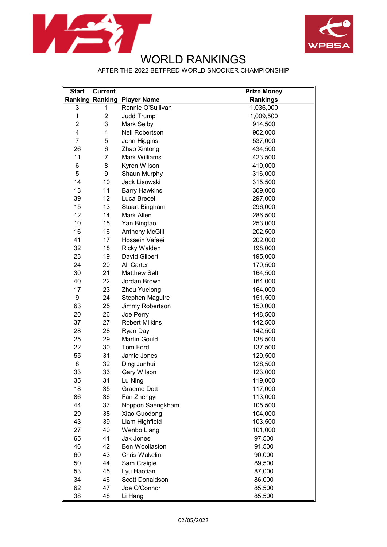



## WORLD RANKINGS

AFTER THE 2022 BETFRED WORLD SNOOKER CHAMPIONSHIP

| <b>Start</b>   | <b>Current</b>         |                        | <b>Prize Money</b> |
|----------------|------------------------|------------------------|--------------------|
|                | <b>Ranking Ranking</b> | <b>Player Name</b>     | <b>Rankings</b>    |
| 3              | 1                      | Ronnie O'Sullivan      | 1,036,000          |
| 1              | $\overline{c}$         | <b>Judd Trump</b>      | 1,009,500          |
| $\overline{c}$ | 3                      | Mark Selby             | 914,500            |
| 4              | 4                      | Neil Robertson         | 902,000            |
| $\overline{7}$ | 5                      | John Higgins           | 537,000            |
| 26             | 6                      | Zhao Xintong           | 434,500            |
| 11             | $\overline{7}$         | <b>Mark Williams</b>   | 423,500            |
| 6              | 8                      | Kyren Wilson           | 419,000            |
| 5              | 9                      | Shaun Murphy           | 316,000            |
| 14             | 10                     | Jack Lisowski          | 315,500            |
| 13             | 11                     | <b>Barry Hawkins</b>   | 309,000            |
| 39             | 12                     | Luca Brecel            | 297,000            |
| 15             | 13                     | <b>Stuart Bingham</b>  | 296,000            |
| 12             | 14                     | Mark Allen             | 286,500            |
| 10             | 15                     | Yan Bingtao            | 253,000            |
| 16             | 16                     | <b>Anthony McGill</b>  | 202,500            |
| 41             | 17                     | Hossein Vafaei         | 202,000            |
| 32             | 18                     | <b>Ricky Walden</b>    | 198,000            |
| 23             | 19                     | David Gilbert          | 195,000            |
| 24             | 20                     | Ali Carter             | 170,500            |
| 30             | 21                     | <b>Matthew Selt</b>    | 164,500            |
| 40             | 22                     | Jordan Brown           | 164,000            |
| 17             | 23                     | <b>Zhou Yuelong</b>    | 164,000            |
| 9              | 24                     | <b>Stephen Maguire</b> | 151,500            |
| 63             | 25                     | Jimmy Robertson        | 150,000            |
| 20             | 26                     | Joe Perry              | 148,500            |
| 37             | 27                     | <b>Robert Milkins</b>  | 142,500            |
| 28             | 28                     | Ryan Day               | 142,500            |
| 25             | 29                     | <b>Martin Gould</b>    | 138,500            |
| 22             | 30                     | <b>Tom Ford</b>        | 137,500            |
| 55             | 31                     | Jamie Jones            | 129,500            |
| 8              | 32                     | Ding Junhui            | 128,500            |
| 33             | 33                     | Gary Wilson            | 123,000            |
| 35             | 34                     | Lu Ning                | 119,000            |
| 18             | 35                     | Graeme Dott            | 117,000            |
| 86             | 36                     | Fan Zhengyi            | 113,000            |
| 44             | 37                     | Noppon Saengkham       | 105,500            |
| 29             | 38                     | Xiao Guodong           | 104,000            |
| 43             | 39                     | Liam Highfield         | 103,500            |
| 27             | 40                     | Wenbo Liang            | 101,000            |
| 65             | 41                     | Jak Jones              | 97,500             |
| 46             | 42                     | Ben Woollaston         | 91,500             |
| 60             | 43                     | Chris Wakelin          | 90,000             |
| 50             | 44                     | Sam Craigie            | 89,500             |
| 53             | 45                     | Lyu Haotian            | 87,000             |
| 34             | 46                     | Scott Donaldson        | 86,000             |
| 62             | 47                     | Joe O'Connor           | 85,500             |
| 38             | 48                     | Li Hang                | 85,500             |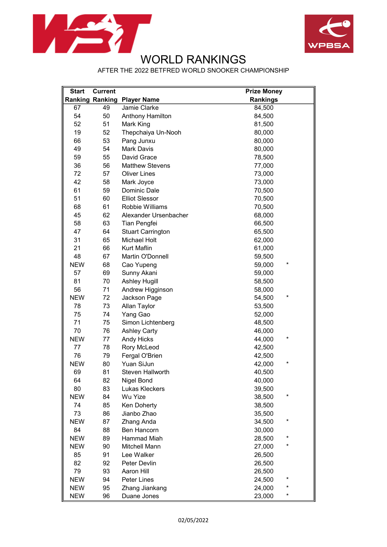



## WORLD RANKINGS

AFTER THE 2022 BETFRED WORLD SNOOKER CHAMPIONSHIP

| <b>Start</b> | <b>Current</b>         |                          | <b>Prize Money</b> |
|--------------|------------------------|--------------------------|--------------------|
|              | <b>Ranking Ranking</b> | <b>Player Name</b>       | <b>Rankings</b>    |
| 67           | 49                     | Jamie Clarke             | 84,500             |
| 54           | 50                     | Anthony Hamilton         | 84,500             |
| 52           | 51                     | Mark King                | 81,500             |
| 19           | 52                     | Thepchaiya Un-Nooh       | 80,000             |
| 66           | 53                     | Pang Junxu               | 80,000             |
| 49           | 54                     | <b>Mark Davis</b>        | 80,000             |
| 59           | 55                     | David Grace              | 78,500             |
| 36           | 56                     | <b>Matthew Stevens</b>   | 77,000             |
| 72           | 57                     | <b>Oliver Lines</b>      | 73,000             |
| 42           | 58                     | Mark Joyce               | 73,000             |
| 61           | 59                     | Dominic Dale             | 70,500             |
| 51           | 60                     | <b>Elliot Slessor</b>    | 70,500             |
| 68           | 61                     | Robbie Williams          | 70,500             |
| 45           | 62                     | Alexander Ursenbacher    | 68,000             |
| 58           | 63                     | Tian Pengfei             | 66,500             |
| 47           | 64                     | <b>Stuart Carrington</b> | 65,500             |
| 31           | 65                     | Michael Holt             | 62,000             |
| 21           | 66                     | <b>Kurt Maflin</b>       | 61,000             |
| 48           | 67                     | Martin O'Donnell         | 59,500             |
| <b>NEW</b>   | 68                     | Cao Yupeng               | *<br>59,000        |
| 57           | 69                     | Sunny Akani              | 59,000             |
| 81           | 70                     | <b>Ashley Hugill</b>     | 58,500             |
| 56           | 71                     | Andrew Higginson         | 58,000             |
| <b>NEW</b>   | 72                     | Jackson Page             | *<br>54,500        |
| 78           | 73                     | Allan Taylor             | 53,500             |
| 75           | 74                     | Yang Gao                 | 52,000             |
| 71           | 75                     | Simon Lichtenberg        | 48,500             |
| 70           | 76                     | <b>Ashley Carty</b>      | 46,000             |
| <b>NEW</b>   | 77                     | <b>Andy Hicks</b>        | *<br>44,000        |
| 77           | 78                     | Rory McLeod              | 42,500             |
| 76           | 79                     | Fergal O'Brien           | 42,500             |
| <b>NEW</b>   | 80                     | Yuan SiJun               | *<br>42,000        |
| 69           | 81                     | <b>Steven Hallworth</b>  | 40,500             |
| 64           | 82                     | Nigel Bond               | 40,000             |
| 80           | 83                     | Lukas Kleckers           | 39,500             |
| <b>NEW</b>   | 84                     | Wu Yize                  | *<br>38,500        |
| 74           | 85                     | Ken Doherty              | 38,500             |
| 73           | 86                     | Jianbo Zhao              | 35,500             |
| <b>NEW</b>   | 87                     | Zhang Anda               | *<br>34,500        |
| 84           | 88                     | Ben Hancorn              | 30,000             |
| <b>NEW</b>   | 89                     | <b>Hammad Miah</b>       | *<br>28,500        |
| <b>NEW</b>   | 90                     | <b>Mitchell Mann</b>     | *<br>27,000        |
| 85           | 91                     | Lee Walker               | 26,500             |
| 82           | 92                     | Peter Devlin             | 26,500             |
| 79           | 93                     | Aaron Hill               | 26,500             |
| <b>NEW</b>   | 94                     | Peter Lines              | *<br>24,500        |
| <b>NEW</b>   | 95                     | Zhang Jiankang           | *<br>24,000        |
| <b>NEW</b>   | 96                     | Duane Jones              | *<br>23,000        |